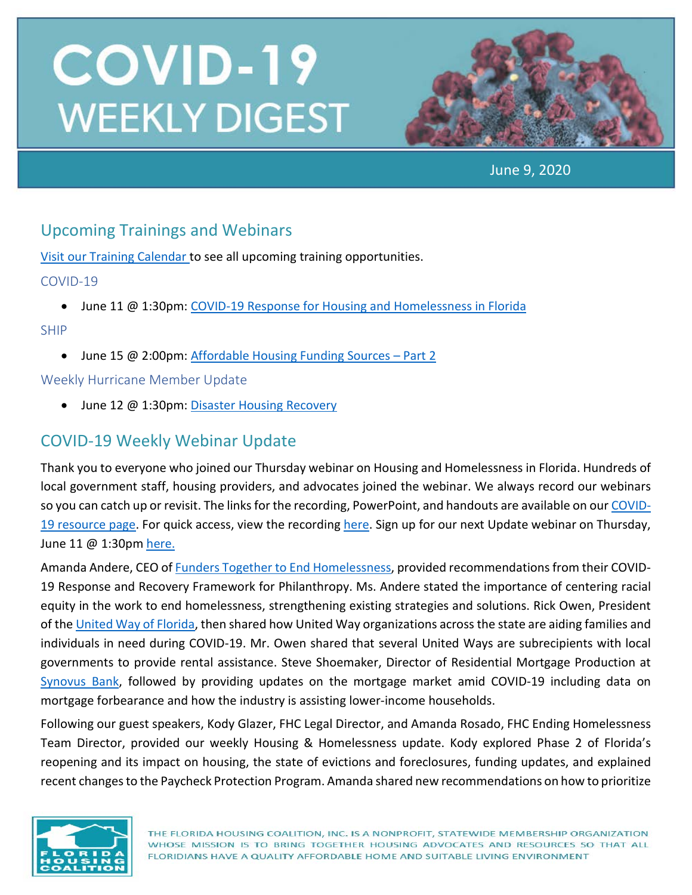

June 9, 2020

## Upcoming Trainings and Webinars

[Visit our Training Calendar](https://www.flhousing.org/events/) to see all upcoming training opportunities.

#### COVID-19

• June 11 @ 1:30pm[: COVID-19 Response for Housing and Homelessness in Florida](https://attendee.gotowebinar.com/register/9138769422186922763)

#### SHIP

• June 15 @ 2:00pm: Affordable Housing Funding Sources - Part 2

#### Weekly Hurricane Member Update

• June 12 @ 1:30pm[: Disaster Housing Recovery](https://register.gotowebinar.com/register/3773935528403844107)

## COVID-19 Weekly Webinar Update

Thank you to everyone who joined our Thursday webinar on Housing and Homelessness in Florida. Hundreds of local government staff, housing providers, and advocates joined the webinar. We always record our webinars so you can catch up or revisit. The links for the recording, PowerPoint, and handouts are available on our [COVID-](https://www.flhousing.org/covid-19-housing-related-resources/)[19 resource page.](https://www.flhousing.org/covid-19-housing-related-resources/) For quick access, view the recording [here.](https://vimeo.com/426063368) Sign up for our next Update webinar on Thursday, June 11 @ 1:30pm [here.](https://attendee.gotowebinar.com/register/9138769422186922763)

Amanda Andere, CEO of [Funders Together to End Homelessness,](http://www.funderstogether.org/) provided recommendations from their COVID-19 Response and Recovery Framework for Philanthropy. Ms. Andere stated the importance of centering racial equity in the work to end homelessness, strengthening existing strategies and solutions. Rick Owen, President of the [United Way of Florida,](https://www.uwof.org/) then shared how United Way organizations across the state are aiding families and individuals in need during COVID-19. Mr. Owen shared that several United Ways are subrecipients with local governments to provide rental assistance. Steve Shoemaker, Director of Residential Mortgage Production at [Synovus Bank,](https://www.synovus.com/) followed by providing updates on the mortgage market amid COVID-19 including data on mortgage forbearance and how the industry is assisting lower-income households.

Following our guest speakers, Kody Glazer, FHC Legal Director, and Amanda Rosado, FHC Ending Homelessness Team Director, provided our weekly Housing & Homelessness update. Kody explored Phase 2 of Florida's reopening and its impact on housing, the state of evictions and foreclosures, funding updates, and explained recent changes to the Paycheck Protection Program. Amanda shared new recommendations on how to prioritize

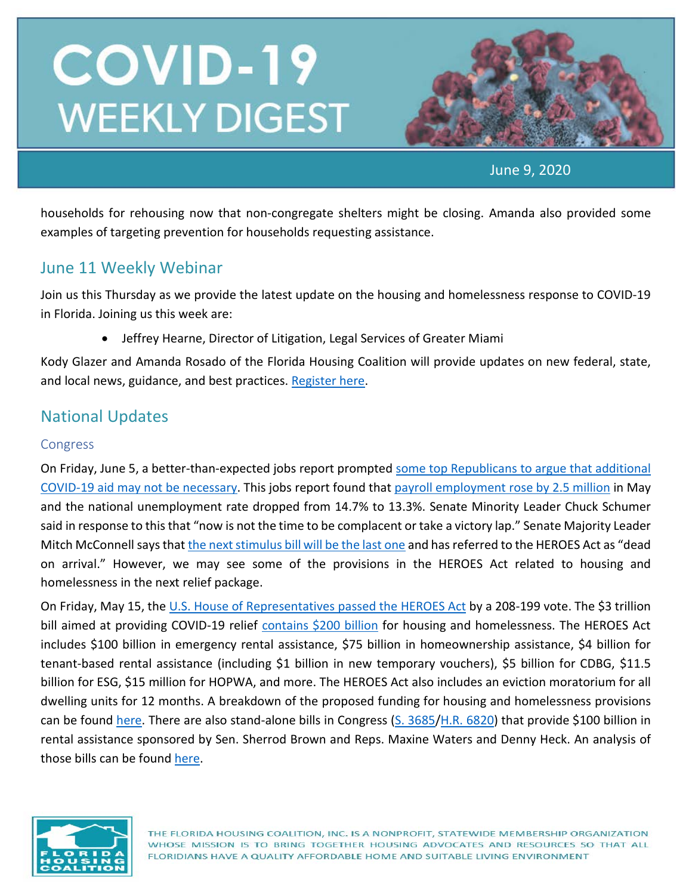

June 9, 2020

households for rehousing now that non-congregate shelters might be closing. Amanda also provided some examples of targeting prevention for households requesting assistance.

### June 11 Weekly Webinar

Join us this Thursday as we provide the latest update on the housing and homelessness response to COVID-19 in Florida. Joining us this week are:

• Jeffrey Hearne, Director of Litigation, Legal Services of Greater Miami

Kody Glazer and Amanda Rosado of the Florida Housing Coalition will provide updates on new federal, state, and local news, guidance, and best practices. [Register here.](https://attendee.gotowebinar.com/register/9138769422186922763)

### National Updates

#### Congress

On Friday, June 5, a better-than-expected jobs report prompted [some top Republicans to argue that additional](https://www.nbcnews.com/politics/politics-news/republicans-say-may-jobs-report-suggests-new-coronavirus-spending-unnecessary-n1225841)  [COVID-19 aid may not be necessary.](https://www.nbcnews.com/politics/politics-news/republicans-say-may-jobs-report-suggests-new-coronavirus-spending-unnecessary-n1225841) This jobs report found that [payroll employment rose by 2.5 million](https://www.bls.gov/news.release/empsit.nr0.htm) in May and the national unemployment rate dropped from 14.7% to 13.3%. Senate Minority Leader Chuck Schumer said in response to this that "now is not the time to be complacent or take a victory lap." Senate Majority Leader Mitch McConnell says that [the next stimulus bill will be the last one](https://www.forbes.com/sites/zackfriedman/2020/05/31/stimulus-checks-final/#4cf989f4c476) and has referred to the HEROES Act as "dead on arrival." However, we may see some of the provisions in the HEROES Act related to housing and homelessness in the next relief package.

On Friday, May 15, the [U.S. House of Representatives passed the HEROES Act](https://www.businessinsider.com/house-passes-coronavirus-relief-bill-dubbed-heroes-act-2020-5) by a 208-199 vote. The \$3 trillion bill aimed at providing COVID-19 relief [contains \\$200 billion](https://nlihc.org/resource/overview-housing-and-homeless-provisions-heroes-act) for housing and homelessness. The HEROES Act includes \$100 billion in emergency rental assistance, \$75 billion in homeownership assistance, \$4 billion for tenant-based rental assistance (including \$1 billion in new temporary vouchers), \$5 billion for CDBG, \$11.5 billion for ESG, \$15 million for HOPWA, and more. The HEROES Act also includes an eviction moratorium for all dwelling units for 12 months. A breakdown of the proposed funding for housing and homelessness provisions can be found [here.](https://nlihc.org/resource/overview-housing-and-homeless-provisions-heroes-act) There are also stand-alone bills in Congress [\(S. 3685](https://www.congress.gov/bill/116th-congress/senate-bill/3685)[/H.R. 6820\)](https://www.congress.gov/bill/116th-congress/house-bill/6820?q=%7B%22search%22%3A%5B%22emergency+rental+assistance%22%5D%7D&r=2&s=3) that provide \$100 billion in rental assistance sponsored by Sen. Sherrod Brown and Reps. Maxine Waters and Denny Heck. An analysis of those bills can be found [here.](https://nlihc.org/sites/default/files/Emergency-Rental-Assistance.pdf)

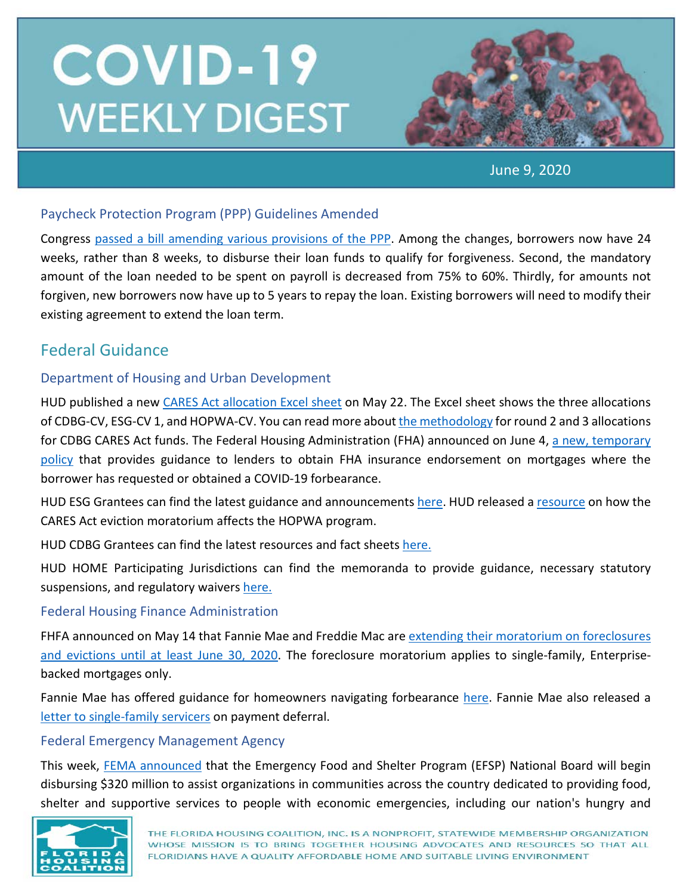

June 9, 2020

#### Paycheck Protection Program (PPP) Guidelines Amended

Congress [passed a bill amending various provisions of the PPP.](https://www.cnbc.com/2020/06/03/sen-ron-johnson-blocks-ppp-small-business-loan-legislation.html) Among the changes, borrowers now have 24 weeks, rather than 8 weeks, to disburse their loan funds to qualify for forgiveness. Second, the mandatory amount of the loan needed to be spent on payroll is decreased from 75% to 60%. Thirdly, for amounts not forgiven, new borrowers now have up to 5 years to repay the loan. Existing borrowers will need to modify their existing agreement to extend the loan term.

## Federal Guidance

#### Department of Housing and Urban Development

HUD published a new [CARES Act allocation Excel sheet](https://www.hud.gov/program_offices/comm_planning/budget/fy20) on May 22. The Excel sheet shows the three allocations of CDBG-CV, ESG-CV 1, and HOPWA-CV. You can read more about [the methodology](http://www.hud.gov/sites/dfiles/CPD/documents/Revised_CDBG-CV2_Methodology.pdf) for round 2 and 3 allocations for CDBG CARES Act funds. The Federal Housing Administration (FHA) announced on June 4, a new, temporary [policy](https://www.hud.gov/sites/dfiles/OCHCO/documents/2020-16hsngml.pdf) that provides guidance to lenders to obtain FHA insurance endorsement on mortgages where the borrower has requested or obtained a COVID-19 forbearance.

HUD ESG Grantees can find the latest guidance and announcements [here.](https://www.hudexchange.info/programs/esg/) HUD released a [resource](https://files.hudexchange.info/resources/documents/CARES-Act-Moratorium-on-Evictions-and-Effect-on-the-HOPWA-Program-FAQs.pdf) on how the CARES Act eviction moratorium affects the HOPWA program.

HUD CDBG Grantees can find the latest resources and fact sheets [here.](https://www.hud.gov/program_offices/comm_planning/cdbg_programs_covid-19)

HUD HOME Participating Jurisdictions can find the memoranda to provide guidance, necessary statutory suspensions, and regulatory waivers [here.](https://www.hudexchange.info/news/hud-issues-memoranda-on-suspensions-and-waivers-for-home-program-covid-19-response/)

#### Federal Housing Finance Administration

FHFA announced on May 14 that Fannie Mae and Freddie Mac ar[e extending their moratorium on foreclosures](https://www.fhfa.gov/Media/PublicAffairs/Pages/FHFA-Extends-Foreclosure-and-Eviction-Moratorium.aspx?utm_source=NLIHC+All+Subscribers&utm_campaign=54a7baff20-DHRC-5.1.2020-update_COPY_01&utm_medium=email&utm_term=0_e090383b5e-54a7baff20-293269037&)  [and evictions until at least June 30, 2020.](https://www.fhfa.gov/Media/PublicAffairs/Pages/FHFA-Extends-Foreclosure-and-Eviction-Moratorium.aspx?utm_source=NLIHC+All+Subscribers&utm_campaign=54a7baff20-DHRC-5.1.2020-update_COPY_01&utm_medium=email&utm_term=0_e090383b5e-54a7baff20-293269037&) The foreclosure moratorium applies to single-family, Enterprisebacked mortgages only.

Fannie Mae has offered guidance for homeowners navigating forbearance [here.](https://www.fanniemae.com/portal/media/corporate-news/2020/covid-19-mortgage-options-7010.html) Fannie Mae also released a [letter to single-family servicers](https://singlefamily.fanniemae.com/media/22916/display?utm_source=NLIHC+All+Subscribers&utm_campaign=54a7baff20-DHRC-5.1.2020-update_COPY_01&utm_medium=email&utm_term=0_e090383b5e-54a7baff20-293269037&ct=t(DHRC-5.1.2020-update_COPY_01)) on payment deferral.

#### Federal Emergency Management Agency

This week, [FEMA announced](https://www.fema.gov/news-release/2020/06/08/fema-disburses-emergency-food-and-shelter-program-funding) that the Emergency Food and Shelter Program (EFSP) National Board will begin disbursing \$320 million to assist organizations in communities across the country dedicated to providing food, shelter and supportive services to people with economic emergencies, including our nation's hungry and

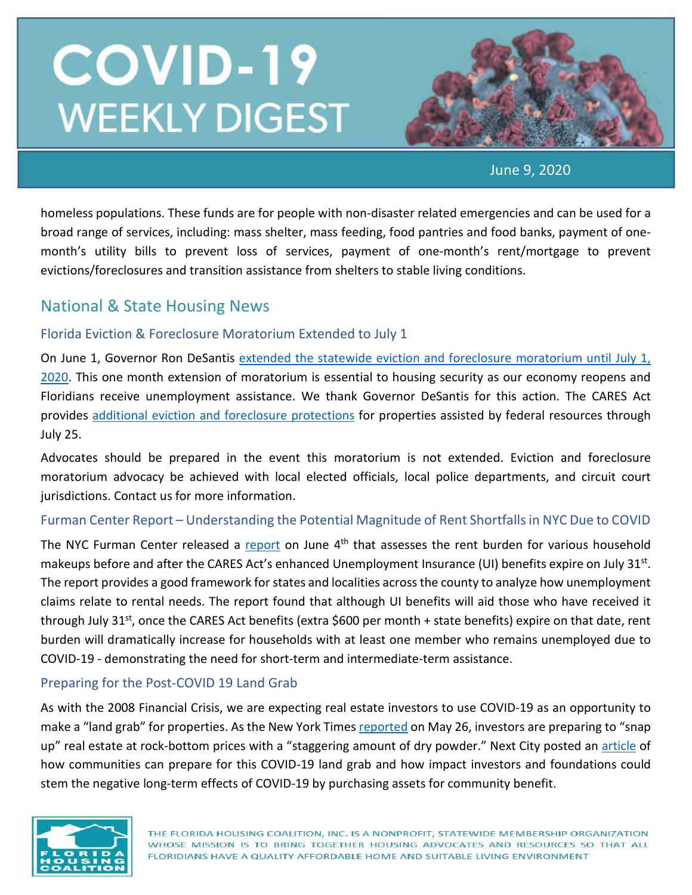

June 9, 2020

homeless populations. These funds are for people with non-disaster related emergencies and can be used for a broad range of services, including: mass shelter, mass feeding, food pantries and food banks, payment of onemonth's utility bills to prevent loss of services, payment of one-month's rent/mortgage to prevent evictions/foreclosures and transition assistance from shelters to stable living conditions.

### National & State Housing News

#### Florida Eviction & Foreclosure Moratorium Extended to July 1

On June 1, Governor Ron DeSantis [extended the statewide eviction and foreclosure moratorium until July 1,](https://static-s3.lobbytools.com/docs/2020/6/1/120906_137_limited_extension_mortgage_foreclosure_eviction_relief_.pdf)  [2020.](https://static-s3.lobbytools.com/docs/2020/6/1/120906_137_limited_extension_mortgage_foreclosure_eviction_relief_.pdf) This one month extension of moratorium is essential to housing security as our economy reopens and Floridians receive unemployment assistance. We thank Governor DeSantis for this action. The CARES Act provides [additional eviction and foreclosure protections](https://www.nhlp.org/wp-content/uploads/2020.03.27-NHLP-CARES-Act-Eviction-Moratorium-Summary.pdf) for properties assisted by federal resources through July 25.

Advocates should be prepared in the event this moratorium is not extended. Eviction and foreclosure moratorium advocacy be achieved with local elected officials, local police departments, and circuit court jurisdictions. Contact us for more information.

#### Furman Center Report – Understanding the Potential Magnitude of Rent Shortfalls in NYC Due to COVID

The NYC Furman Center released a [report](https://furmancenter.org/thestoop/entry/understanding-the-potential-magnitude-of-rent-shortfalls-in-new-york-state) on June  $4<sup>th</sup>$  that assesses the rent burden for various household makeups before and after the CARES Act's enhanced Unemployment Insurance (UI) benefits expire on July 31<sup>st</sup>. The report provides a good framework for states and localities across the county to analyze how unemployment claims relate to rental needs. The report found that although UI benefits will aid those who have received it through July 31<sup>st</sup>, once the CARES Act benefits (extra \$600 per month + state benefits) expire on that date, rent burden will dramatically increase for households with at least one member who remains unemployed due to COVID-19 - demonstrating the need for short-term and intermediate-term assistance.

#### Preparing for the Post-COVID 19 Land Grab

As with the 2008 Financial Crisis, we are expecting real estate investors to use COVID-19 as an opportunity to make a "land grab" for properties. As the New York Time[s reported](https://www.nytimes.com/2020/05/26/business/distressed-commercial-real-esate-coronavirus.html) on May 26, investors are preparing to "snap up" real estate at rock-bottom prices with a "staggering amount of dry powder." Next City posted an [article](https://nextcity.org/daily/entry/preparing-for-the-post-covid-19-land-grab) of how communities can prepare for this COVID-19 land grab and how impact investors and foundations could stem the negative long-term effects of COVID-19 by purchasing assets for community benefit.

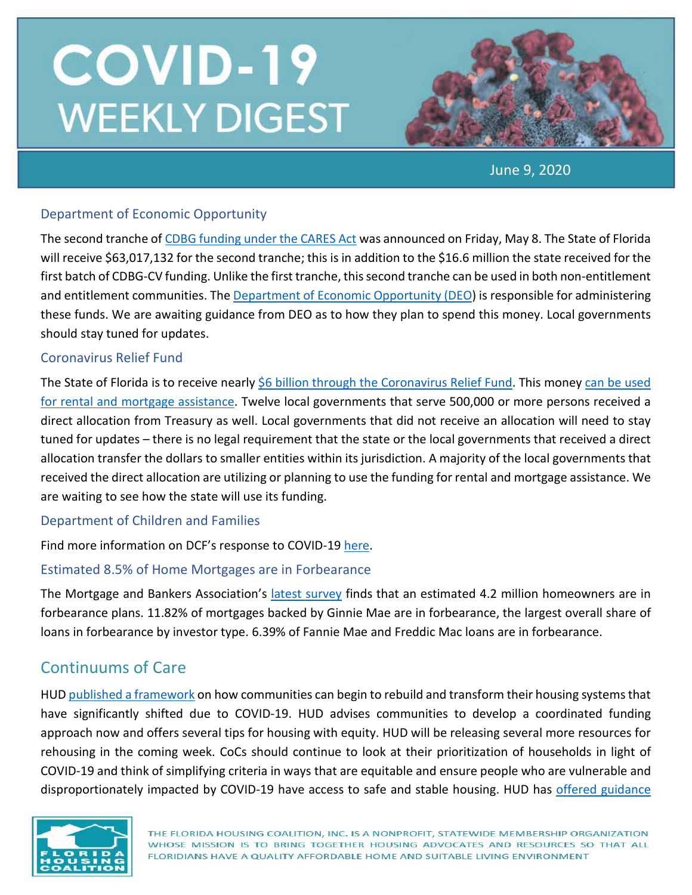

June 9, 2020

#### Department of Economic Opportunity

The second tranche of [CDBG funding under the CARES Act](https://www.hud.gov/program_offices/comm_planning/budget/fy20/) was announced on Friday, May 8. The State of Florida will receive \$63,017,132 for the second tranche; this is in addition to the \$16.6 million the state received for the first batch of CDBG-CV funding. Unlike the first tranche, this second tranche can be used in both non-entitlement and entitlement communities. Th[e Department of Economic Opportunity \(DEO\)](https://floridajobs.org/community-planning-and-development/assistance-for-governments-and-organizations/community-development-block-grant-program) is responsible for administering these funds. We are awaiting guidance from DEO as to how they plan to spend this money. Local governments should stay tuned for updates.

#### Coronavirus Relief Fund

The State of Florida is to receive nearly [\\$6 billion through the Coronavirus Relief Fund.](https://home.treasury.gov/system/files/136/Payments-to-States-and-Units-of-Local-Government.pdf) This money can be used [for rental and mortgage assistance.](https://home.treasury.gov/system/files/136/Coronavirus-Relief-Fund-Frequently-Asked-Questions.pdf) Twelve local governments that serve 500,000 or more persons received a direct allocation from Treasury as well. Local governments that did not receive an allocation will need to stay tuned for updates – there is no legal requirement that the state or the local governments that received a direct allocation transfer the dollars to smaller entities within its jurisdiction. A majority of the local governments that received the direct allocation are utilizing or planning to use the funding for rental and mortgage assistance. We are waiting to see how the state will use its funding.

#### Department of Children and Families

Find more information on DCF's response to COVID-19 [here.](https://lnks.gd/l/eyJhbGciOiJIUzI1NiJ9.eyJidWxsZXRpbl9saW5rX2lkIjoxMDUsInVyaSI6ImJwMjpjbGljayIsImJ1bGxldGluX2lkIjoiMjAyMDA0MjQuMjA2MzkzMTEiLCJ1cmwiOiJodHRwczovL3d3dy5teWZsZmFtaWxpZXMuY29tL2NvdmlkMTkvIn0.EATecvOpfQk6trk8L6BcWf0NHHqN-eSO24OO4t_XgnE/br/77839344424-l)

#### Estimated 8.5% of Home Mortgages are in Forbearance

The Mortgage and Bankers Association's [latest survey](https://www.mba.org/2020-press-releases/june/share-of-mortgage-loans-in-forbearance-increases-to-846) finds that an estimated 4.2 million homeowners are in forbearance plans. 11.82% of mortgages backed by Ginnie Mae are in forbearance, the largest overall share of loans in forbearance by investor type. 6.39% of Fannie Mae and Freddic Mac loans are in forbearance.

### Continuums of Care

HUD published [a framework](https://www.hudexchange.info/resource/6046/covid19-homeless-system-response-rehousing-activation-planning-and-implementation-tips/?utm_source=HUD+Exchange+Mailing+List&utm_campaign=77fe08cb88-SNAPS-COVID-19-Digest-06-04-2020&utm_medium=email&utm_term=0_f32b935a5f-77fe08cb88-19409773) on how communities can begin to rebuild and transform their housing systems that have significantly shifted due to COVID-19. HUD advises communities to develop a coordinated funding approach now and offers several tips for housing with equity. HUD will be releasing several more resources for rehousing in the coming week. CoCs should continue to look at their prioritization of households in light of COVID-19 and think of simplifying criteria in ways that are equitable and ensure people who are vulnerable and disproportionately impacted by COVID-19 have access to safe and stable housing. HUD has [offered guidance](https://files.hudexchange.info/resources/documents/Changes-to-Coordinated-Entry-Prioritization-to-Support-and-Respond-to-COVID-19.pdf)